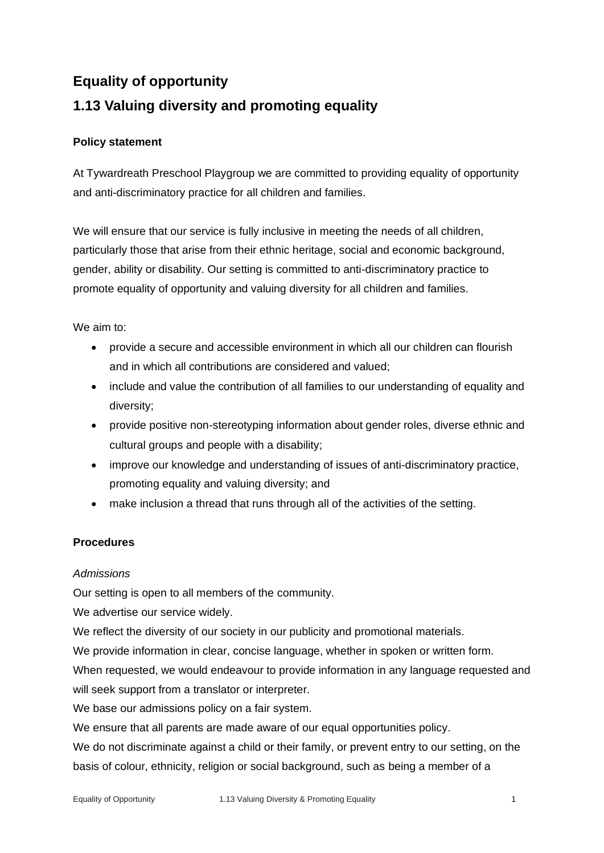# **Equality of opportunity 1.13 Valuing diversity and promoting equality**

# **Policy statement**

At Tywardreath Preschool Playgroup we are committed to providing equality of opportunity and anti-discriminatory practice for all children and families.

We will ensure that our service is fully inclusive in meeting the needs of all children, particularly those that arise from their ethnic heritage, social and economic background, gender, ability or disability. Our setting is committed to anti-discriminatory practice to promote equality of opportunity and valuing diversity for all children and families.

We aim to:

- provide a secure and accessible environment in which all our children can flourish and in which all contributions are considered and valued;
- include and value the contribution of all families to our understanding of equality and diversity;
- provide positive non-stereotyping information about gender roles, diverse ethnic and cultural groups and people with a disability;
- improve our knowledge and understanding of issues of anti-discriminatory practice, promoting equality and valuing diversity; and
- make inclusion a thread that runs through all of the activities of the setting.

# **Procedures**

# *Admissions*

Our setting is open to all members of the community.

We advertise our service widely.

We reflect the diversity of our society in our publicity and promotional materials.

We provide information in clear, concise language, whether in spoken or written form.

When requested, we would endeavour to provide information in any language requested and will seek support from a translator or interpreter.

We base our admissions policy on a fair system.

We ensure that all parents are made aware of our equal opportunities policy.

We do not discriminate against a child or their family, or prevent entry to our setting, on the basis of colour, ethnicity, religion or social background, such as being a member of a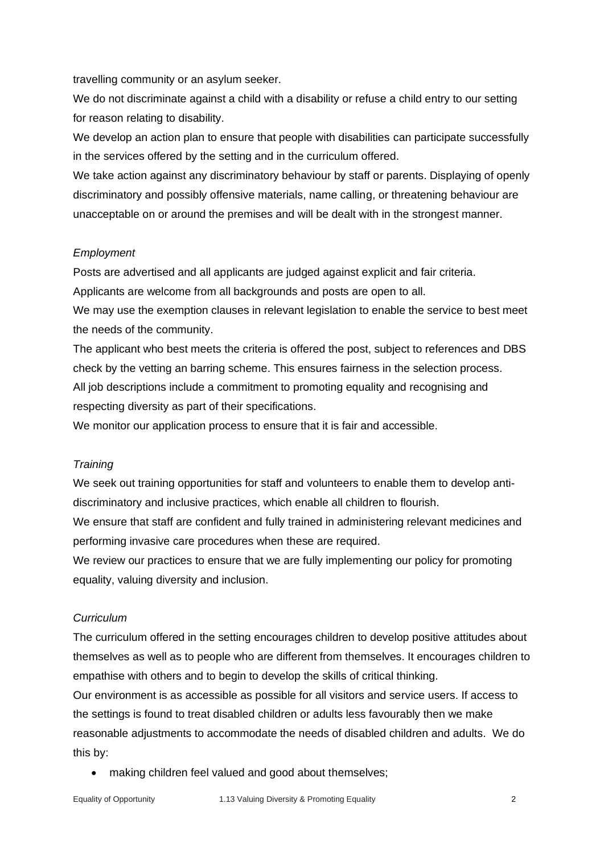travelling community or an asylum seeker.

We do not discriminate against a child with a disability or refuse a child entry to our setting for reason relating to disability.

We develop an action plan to ensure that people with disabilities can participate successfully in the services offered by the setting and in the curriculum offered.

We take action against any discriminatory behaviour by staff or parents. Displaying of openly discriminatory and possibly offensive materials, name calling, or threatening behaviour are unacceptable on or around the premises and will be dealt with in the strongest manner.

#### *Employment*

Posts are advertised and all applicants are judged against explicit and fair criteria.

Applicants are welcome from all backgrounds and posts are open to all.

We may use the exemption clauses in relevant legislation to enable the service to best meet the needs of the community.

The applicant who best meets the criteria is offered the post, subject to references and DBS check by the vetting an barring scheme. This ensures fairness in the selection process. All job descriptions include a commitment to promoting equality and recognising and respecting diversity as part of their specifications.

We monitor our application process to ensure that it is fair and accessible.

#### *Training*

We seek out training opportunities for staff and volunteers to enable them to develop antidiscriminatory and inclusive practices, which enable all children to flourish.

We ensure that staff are confident and fully trained in administering relevant medicines and performing invasive care procedures when these are required.

We review our practices to ensure that we are fully implementing our policy for promoting equality, valuing diversity and inclusion.

#### *Curriculum*

The curriculum offered in the setting encourages children to develop positive attitudes about themselves as well as to people who are different from themselves. It encourages children to empathise with others and to begin to develop the skills of critical thinking.

Our environment is as accessible as possible for all visitors and service users. If access to the settings is found to treat disabled children or adults less favourably then we make reasonable adjustments to accommodate the needs of disabled children and adults. We do this by:

• making children feel valued and good about themselves;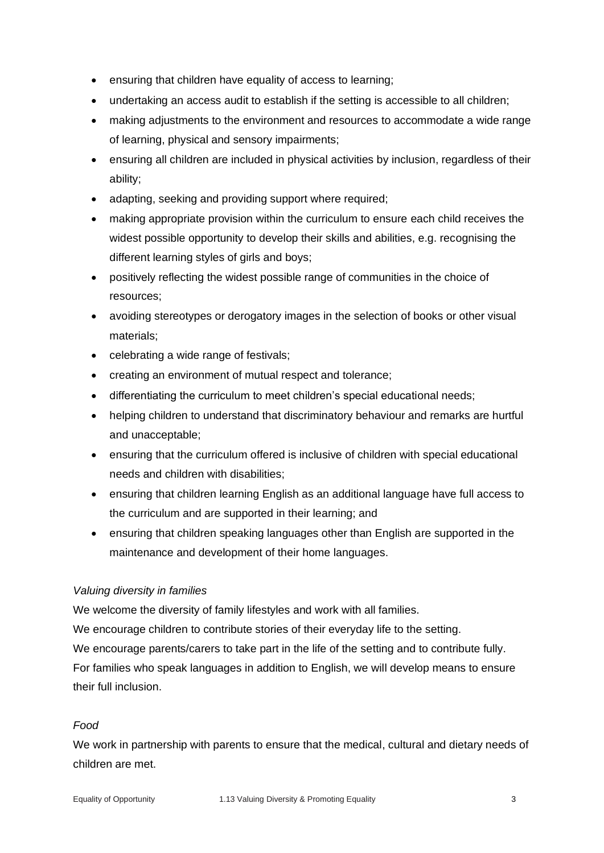- ensuring that children have equality of access to learning;
- undertaking an access audit to establish if the setting is accessible to all children;
- making adjustments to the environment and resources to accommodate a wide range of learning, physical and sensory impairments;
- ensuring all children are included in physical activities by inclusion, regardless of their ability;
- adapting, seeking and providing support where required;
- making appropriate provision within the curriculum to ensure each child receives the widest possible opportunity to develop their skills and abilities, e.g. recognising the different learning styles of girls and boys;
- positively reflecting the widest possible range of communities in the choice of resources;
- avoiding stereotypes or derogatory images in the selection of books or other visual materials;
- celebrating a wide range of festivals;
- creating an environment of mutual respect and tolerance;
- differentiating the curriculum to meet children's special educational needs;
- helping children to understand that discriminatory behaviour and remarks are hurtful and unacceptable;
- ensuring that the curriculum offered is inclusive of children with special educational needs and children with disabilities;
- ensuring that children learning English as an additional language have full access to the curriculum and are supported in their learning; and
- ensuring that children speaking languages other than English are supported in the maintenance and development of their home languages.

# *Valuing diversity in families*

We welcome the diversity of family lifestyles and work with all families.

We encourage children to contribute stories of their everyday life to the setting.

We encourage parents/carers to take part in the life of the setting and to contribute fully. For families who speak languages in addition to English, we will develop means to ensure their full inclusion.

# *Food*

We work in partnership with parents to ensure that the medical, cultural and dietary needs of children are met.